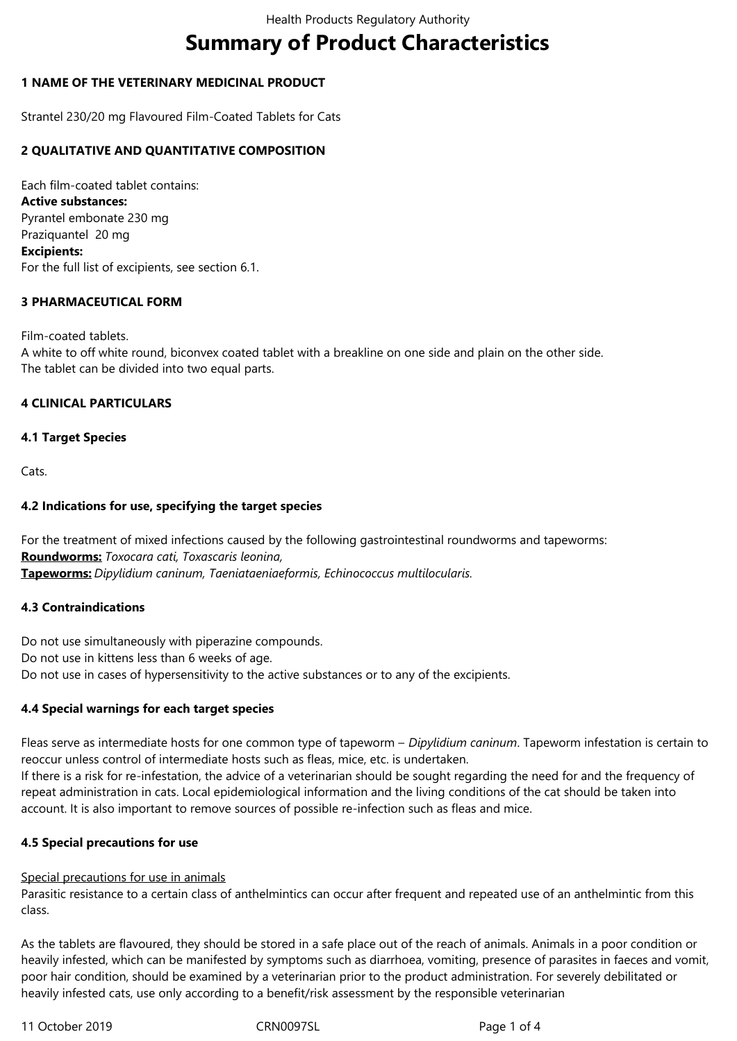# **Summary of Product Characteristics**

## **1 NAME OF THE VETERINARY MEDICINAL PRODUCT**

Strantel 230/20 mg Flavoured Film-Coated Tablets for Cats

## **2 QUALITATIVE AND QUANTITATIVE COMPOSITION**

Each film-coated tablet contains: **Active substances:** Pyrantel embonate 230 mg Praziquantel 20 mg **Excipients:** For the full list of excipients, see section 6.1.

## **3 PHARMACEUTICAL FORM**

# Film-coated tablets. A white to off white round, biconvex coated tablet with a breakline on one side and plain on the other side. The tablet can be divided into two equal parts.

## **4 CLINICAL PARTICULARS**

## **4.1 Target Species**

Cats.

## **4.2 Indications for use, specifying the target species**

For the treatment of mixed infections caused by the following gastrointestinal roundworms and tapeworms: **Roundworms:** *Toxocara cati, Toxascaris leonina,* **Tapeworms:** *Dipylidium caninum, Taeniataeniaeformis, Echinococcus multilocularis.*

#### **4.3 Contraindications**

Do not use simultaneously with piperazine compounds. Do not use in kittens less than 6 weeks of age. Do not use in cases of hypersensitivity to the active substances or to any of the excipients.

# **4.4 Special warnings for each target species**

Fleas serve as intermediate hosts for one common type of tapeworm – *Dipylidium caninum*. Tapeworm infestation is certain to reoccur unless control of intermediate hosts such as fleas, mice, etc. is undertaken. If there is a risk for re-infestation, the advice of a veterinarian should be sought regarding the need for and the frequency of repeat administration in cats. Local epidemiological information and the living conditions of the cat should be taken into account. It is also important to remove sources of possible re-infection such as fleas and mice.

# **4.5 Special precautions for use**

#### Special precautions for use in animals

Parasitic resistance to a certain class of anthelmintics can occur after frequent and repeated use of an anthelmintic from this class.

As the tablets are flavoured, they should be stored in a safe place out of the reach of animals. Animals in a poor condition or heavily infested, which can be manifested by symptoms such as diarrhoea, vomiting, presence of parasites in faeces and vomit, poor hair condition, should be examined by a veterinarian prior to the product administration. For severely debilitated or heavily infested cats, use only according to a benefit/risk assessment by the responsible veterinarian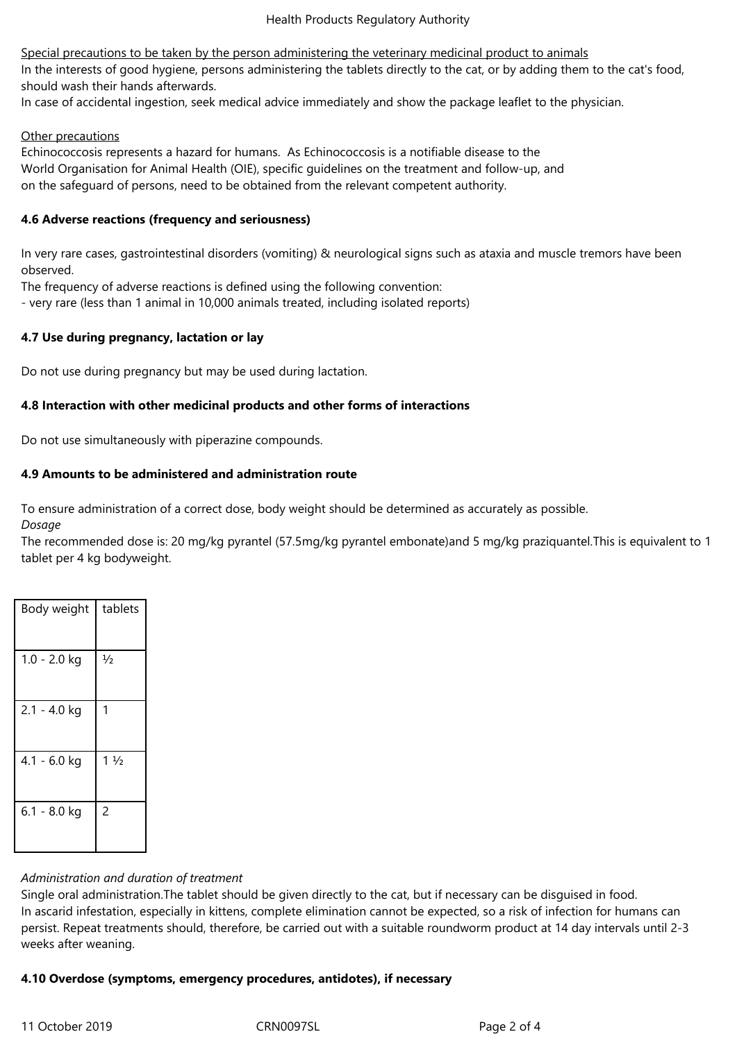Special precautions to be taken by the person administering the veterinary medicinal product to animals In the interests of good hygiene, persons administering the tablets directly to the cat, or by adding them to the cat's food, should wash their hands afterwards.

In case of accidental ingestion, seek medical advice immediately and show the package leaflet to the physician.

#### Other precautions

Echinococcosis represents a hazard for humans. As Echinococcosis is a notifiable disease to the World Organisation for Animal Health (OIE), specific guidelines on the treatment and follow-up, and on the safeguard of persons, need to be obtained from the relevant competent authority.

## **4.6 Adverse reactions (frequency and seriousness)**

In very rare cases, gastrointestinal disorders (vomiting) & neurological signs such as ataxia and muscle tremors have been observed.

The frequency of adverse reactions is defined using the following convention:

- very rare (less than 1 animal in 10,000 animals treated, including isolated reports)

## **4.7 Use during pregnancy, lactation or lay**

Do not use during pregnancy but may be used during lactation.

## **4.8 Interaction with other medicinal products and other forms of interactions**

Do not use simultaneously with piperazine compounds.

## **4.9 Amounts to be administered and administration route**

To ensure administration of a correct dose, body weight should be determined as accurately as possible. *Dosage*

The recommended dose is: 20 mg/kg pyrantel (57.5mg/kg pyrantel embonate)and 5 mg/kg praziquantel.This is equivalent to 1 tablet per 4 kg bodyweight.

| Body weight    | tablets        |
|----------------|----------------|
| $1.0 - 2.0$ kg | $\frac{1}{2}$  |
| $2.1 - 4.0$ kg | 1              |
| 4.1 - 6.0 kg   | $1\frac{1}{2}$ |
| $6.1 - 8.0$ kg | $\overline{c}$ |

#### *Administration and duration of treatment*

Single oral administration.The tablet should be given directly to the cat, but if necessary can be disguised in food. In ascarid infestation, especially in kittens, complete elimination cannot be expected, so a risk of infection for humans can persist. Repeat treatments should, therefore, be carried out with a suitable roundworm product at 14 day intervals until 2-3 weeks after weaning.

# **4.10 Overdose (symptoms, emergency procedures, antidotes), if necessary**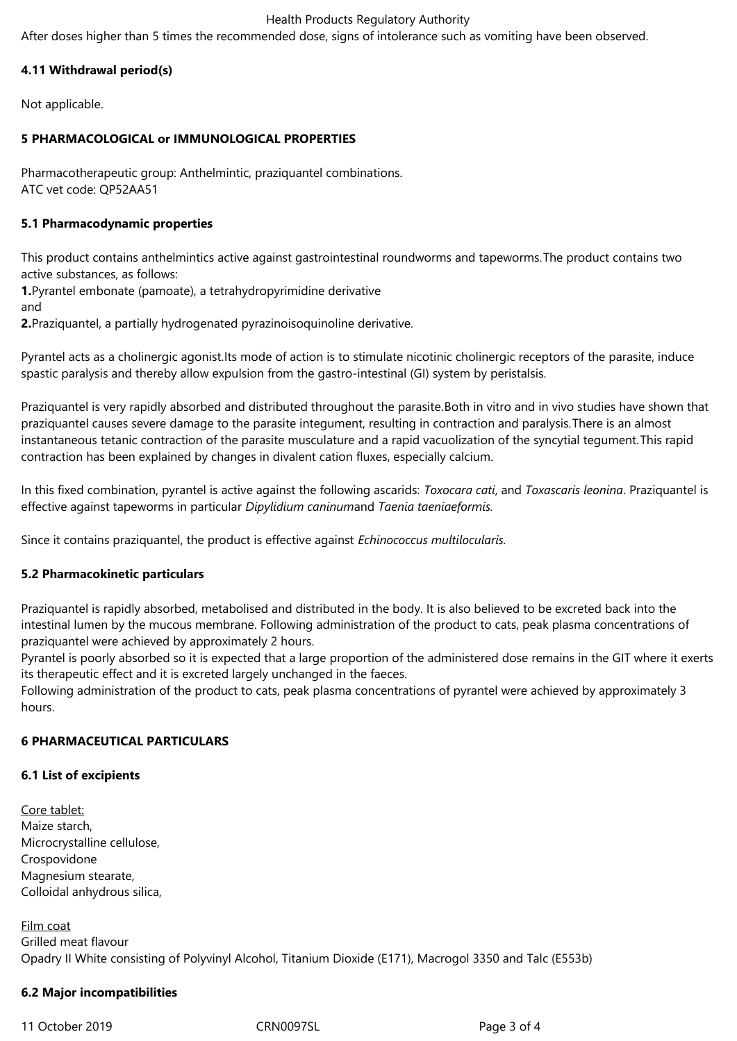#### Health Products Regulatory Authority

After doses higher than 5 times the recommended dose, signs of intolerance such as vomiting have been observed.

# **4.11 Withdrawal period(s)**

Not applicable.

## **5 PHARMACOLOGICAL or IMMUNOLOGICAL PROPERTIES**

Pharmacotherapeutic group: Anthelmintic, praziquantel combinations. ATC vet code: QP52AA51

## **5.1 Pharmacodynamic properties**

This product contains anthelmintics active against gastrointestinal roundworms and tapeworms.The product contains two active substances, as follows:

**1.**Pyrantel embonate (pamoate), a tetrahydropyrimidine derivative

and

**2.**Praziquantel, a partially hydrogenated pyrazinoisoquinoline derivative.

Pyrantel acts as a cholinergic agonist.Its mode of action is to stimulate nicotinic cholinergic receptors of the parasite, induce spastic paralysis and thereby allow expulsion from the gastro-intestinal (GI) system by peristalsis.

Praziquantel is very rapidly absorbed and distributed throughout the parasite.Both in vitro and in vivo studies have shown that praziquantel causes severe damage to the parasite integument, resulting in contraction and paralysis.There is an almost instantaneous tetanic contraction of the parasite musculature and a rapid vacuolization of the syncytial tegument.This rapid contraction has been explained by changes in divalent cation fluxes, especially calcium.

In this fixed combination, pyrantel is active against the following ascarids: *Toxocara cati*, and *Toxascaris leonina*. Praziquantel is effective against tapeworms in particular *Dipylidium caninum*and *Taenia taeniaeformis.*

Since it contains praziquantel, the product is effective against *Echinococcus multilocularis.* 

# **5.2 Pharmacokinetic particulars**

Praziquantel is rapidly absorbed, metabolised and distributed in the body. It is also believed to be excreted back into the intestinal lumen by the mucous membrane. Following administration of the product to cats, peak plasma concentrations of praziquantel were achieved by approximately 2 hours.

Pyrantel is poorly absorbed so it is expected that a large proportion of the administered dose remains in the GIT where it exerts its therapeutic effect and it is excreted largely unchanged in the faeces.

Following administration of the product to cats, peak plasma concentrations of pyrantel were achieved by approximately 3 hours.

# **6 PHARMACEUTICAL PARTICULARS**

#### **6.1 List of excipients**

Core tablet: Maize starch, Microcrystalline cellulose, Crospovidone Magnesium stearate, Colloidal anhydrous silica,

Film coat Grilled meat flavour Opadry II White consisting of Polyvinyl Alcohol, Titanium Dioxide (E171), Macrogol 3350 and Talc (E553b)

# **6.2 Major incompatibilities**

11 October 2019 CRN0097SL Page 3 of 4